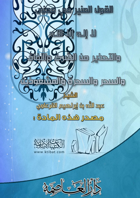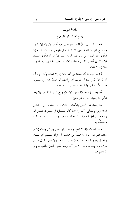مقدمة المؤلف بسم الله الرحمن الرحيم

الحمد لله الذي ملأ قلوب الموحدين من أنوار «لا إله إلا الله»، وأوضح الفرقان للمخلصين لما أشرقت في قلوهم أنوار «لا إلـــه إلا الله»، خلق الجنين من ماء مهين ليعبده بــــ «لا إله إلا الله»، خلــــق الإنسان في أحسن تقويم وجمله بالعقل والتعليم والتفهيم ليعرفه بــــ «لا إله إلا الله».

أحمده سبحانه أن جعلنا من أهل «لا إله إلا الله»، وأشــــهد أن لا إله إلا الله وحده لا شريك له، وأشهد أن محمدًا عبده ورســــوله صلى الله وسلم وبارك عليه وعلى آله وصحبه.

أما بعد.. إن الصلاة عمود الإسلام ومع ذلك لم تفرض إلا بعد الأمر بالتوحيد بنحو عشر سنين.

فالتوحيد هو الأصل والأساس، ذلك لأنه يوحد مسن يسدحل الجنة ولو لم يصلى ركعة واحدة كأن يقتـــل، أو يمـــوت قبــــل أن يتمكن من فعل الصلاة؛ إذا اعتقد التوحيد وعمــــل بــــه ومــــات متمسکًا به.

وأما الصلاة فإنها لا تنفع وحدها ولو صلى وزكي وصام إذا لم يعتقد التوحيد. فإنه ما هلك من هلك؛ إلا بترك تعلـــم التوحيــــد والعمل به، وما دخل الشيطان على من دخل ولا مزق عقول مـــن مزق، ولا وقع ما وقع؛ إلا من أفة قولهم يكفي النطق بالشهادة ولو لم يعلم ها.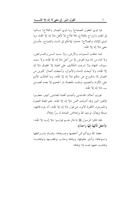فيا ذوي العقول الصحاح! ويا ذوي البصائر والفلاح! نـــادوا في الغدو والرواح بالفلاح، فلا فلاح إلا لأهل «لا إله إلا الله»، ويا ذوي الإيمان والصلاح! حددوا إيمانكم في المساء والصباح، بتأمــــل معنى «لا إله إلا الله».

فما خلقت السموات والأرض، ولا سنت السنن والفــرائض، ولا نجاء من نجا يوم العرض إلا من أحل «لا إله إلا الله»، ولا سلت سيوف الجهاد ولا شرعت التكاليف على العباد إلا لحقوق «لا إله إلا الله»، ولا أبيحت الدماء والأموال، وأحبطت أعمال كثيرين من العمال إلا بالخروج عن حكم «لا إله إلا الله»، وما أهلكت الأمم على الأفراد والتعميم، وملئت بالعصاة نار الجحيم إلا بعدم العمــــل ب «لا إله إلا الله».

غويت أحلام الجاحدين وأضلت أفئدة المعاندين كيف جعلسوا إلاهين اثنين وقد أشرقت شمس «لا إله إلا الله»، علم العتاة الفجرة والمتمردون الكفرة الآبون عن قول «لا إله إلا الله»، أنه يلزم قائلها، صدقًا وإيمانًا، توحيد الله وإخلاص العبادة له سرًا إعلانًا.

فلذا قالوا للرسول ﷺ لما قال لهـــم قولـــوا «لا إلـــه إلا الله»: ﴿أَجَعَلَ الْآلِهَةَ إِلَهًا وَاحِدًا﴾.

جعلنا الله وإياكم ممن أحلصها وصـــفاها، وقـــام بشــــرائطها واستوفاها، وأدى حقوقها، ووفاها وجانب نواقضها وتوقاهــا، وفاضت عليها نفسه إذا توفاها.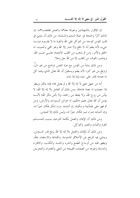إن للإقرار بالشهادتين ومعرفة معناهما والعمل بمقتضـــاهما، إن لذلك آثارًا واضحة في حياة المسلم والمسلمة، من ذلك أن ينشئ في قلب المؤمن الموحد من التوكل على الله والعزة ما لا يقــــوم دونــــه شيء، لأنه يعلم أنه لا نافع ولا ضار إلا الله وهو المحي والمميت، له الخلق والأمر، ومن ثم يذهب من القلب الاعتماد علـــي غــــير الله، ويذهب الخوف من القلب إلا من الله حل وعلا.

ومن ذلك ينشأ من المؤمن مع عزة النفس تواضع من غير ذل، وترفع من غير كبر؛ لأنه يعلم ويستقين أن الله تعالى الذي وهبه كل ما عنده؛ قادر على سلبه إياه إذا شاء.

أما من جهل معنى لا إله إلا الله و لم يعمل هما؛ فإنه يتكبر ويبطر إذا حصلت له نعمة عاجلة، ومن ذلك أن العامل بلا إله إلا الله، لا ییأس من روح الله، ولا یقنط من رحمته، ولا یأمن مکر الله؛ لأنــــه يؤمن أن الله تعالى عليم حكيم، له خزائن السموات والأرض، ومن ثم فهو على طمأنينة وسكينة، إن أصابته سراء شكر فكان حيرًا له، وإن أصابته ضراء صبر فكان حيرًا له، وليس ذلك إلا للمؤمن.

ومن ذلك أن الإيمان والعمل بكلمة التوحيد يسبب للمســـلم العزم والثبات والصبر والتوكل.

ومن ذلك أن الإيمان والعمل بلا إله إلا الله يرفع قدر المـــؤمن، وينشئ فيه الترفع عن الأخلاق المذمومة، والقناعة والاستغناء بالله، ويطهر قلبه من أوساخ الطمع والشره والحسد والكذب، والافتراء والدناءة وغيرها من الصفات القبيحة من البغي والعدوان والتحريش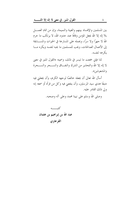بين المسلمين والإفساد بينهم والغيبة والنميمة، وإن من تمام العمـــل بلا إله إلا الله يجعل المؤمن وقافًا عند حدود الله، لا يرتكب ما حرم الله لا جهرًا ولا سرًا، ويحمله على المسارعة في الخيرات والمســـابقة إلى الأعمال الصالحات، ويحب للمسلمين ما يحبه لنفسه ويكره مـــا يكرهه لنفسه.

لذا فإن جمعت ما تيسر في ذلك، وسميته «القول المنير في معنى لا إله إلا الله والتحذير من الشرك والنفــاق والســـحر والســـحرة والمشعوذين».

أسأل الله تعالى أن يجعله خالصًا لوحهه الكريم، وأن يجعلني فيه متبعًا هدي سيد المرسلين، وأن ينفعني فيه وكل من قرأه أو سمعه إنه ولى ذلك القادر عليه.

وصلى الله وسلم على نبينا محمد وعلى آله وصحبه.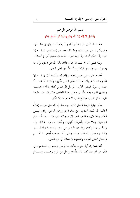بسم الله الرحمن الرحيم

(فضل لا إله إلا الله وشروطها أثر العمل ها)

الحمد لله الذي لم يتخذ ولدًا، و لم يكن له شريك في الملــــك، و لم يكن له ولي من الذلي، وما كان معه من إله، الذي لا إلـــه إلا هو، ولا خالق غيره، ولا رب سواه، المستحق لجميع أنواع العبادة.

ولذا قضى أن لا نعبد إلا إياه، ذلك بأن الله هو الحق، وأن ما يدعون من دونه هو الباطل، وأن الله هو العلي الكبير.

أحمده تعالى على جزيل إنعامه وإفضاله، وأشهد أن لا إلـــه إلا الله وحده لا شريك له الملك الحق العلي الكبير، وأشهد أن محمـــدًا عبده ورسوله البشير النذير، المرسل إلى الناس كافة بالملة الحنيفيـــة والهدى المنير، بعثه الله عز وحل رحمة للعالمين والشرك مضـــطرمة ناره، طائر شراره مرتفع غباره لا مغیر له ولا نکیر.

فقام بتبليغ الرسالة حق القيام، وجاهد في الله حق جهاده إعلاءً لكلمة الله الملك العلام، حتى حاء الحق وزهق الباطل، وأدبر ليــــل الكفر والضلال، وانفجر فجر الإيمان والإسلام، ونشـــرت أعــــلام التوحيد، وعلا بنيانه وأشرقت أنواره، ونكســـت رايـــة الشـــرك وانكسرت شوكته، وخمدت ناره ورمى بناؤه بالدمدمة والتكســـير والتدمير، صلى الله عليه وسلم وعلى آله وصحبه أوعيـــة العلـــم وأنصار الدين القويم، وتابعيهم بإحسان إلى يوم الدين.

**أما بعد**: إن أول شيء بدأت به الرسل قومهم في الــــدعوة إلى الله، هو التوحيد كما قال الله عز وحل عن نوح وهـــود وصــــالح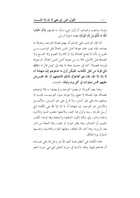ولوط وشعيب وغيرهم، أن أول شيء بدأوا به قومهم ﴿أَنِ اعْبُدُوا اللَّهَ مَا لَكُمْ مِنْ إِلَهٍ غَيْرُهُ﴾ فهذه دعوة الرسل.

لذا فإن الواحب على المسلم أن يهتم بمعرفة التوحيد ومعرفة ما يضاده، فإنه يجب عليه معرفة أصل الدين إجمالاً قبل الواحب مــــن الفروع، لأنه لا تصح الصلاة ولا الزكاة ولا الصوم ولا الحـــج ولا الصدقة قبل الأصل، فلا بد من معرفة أصل الدين إجمالاً، ثم معرفة فروعه تفصيلاً، كما في حديث معاذ لما بعثه إلى اليمن قال له «**إنك** تأتي قومًا من أهل الكتاب؛ فليكن أول ما تدعوهم إليه شهادة أن لا إله إلا الله؛ فإن هم أطاعوك لذلك فأعملهم أن الله افتـــرض عليهم خمس صلوات في كل يوم وليلة» الحديث.

وهذا يفيد أفمم إذا لم يعلموا التوحيد ولم يعملوا به فلا يدعوهم للصلاة، فإن الصلاة لا تنفع، ولا غيرها بدون التوحيــد، فإنــــه لا يستقيم بناء على غير أساس، ولا فرع على غير أصــــل، والأصــــل والأساس هو التوحيد. إن شهادة أن لا إله إلا الله هي الكلمة التي أرسل الله هما رسله وأنزل ها كتبه، ولأحلها حلقت الدنيا والآخرة والجنة والنار ، وفي شأها تكون الشقاوة والسعادة وها تؤخذ الكتب باليمين أو الشمال، وهِما يثقل الميزان أو يخف، وهِما النجاة من النار بعد الورود، وبما أخذ الله الميثاق، وعليها الجزاء والمحاسبة، وعنـــها السؤال يوم التلاق.

هذه الكلمة هي أعظم نعمة أنعم الله عز وحل ها على عبـــاده أن هداهم إليها، ولهذا ذكرها في سورة النحل التي هي سورة النعم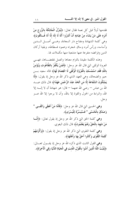فقدمها أولاً قبل كل نعمة فقال تعالى: ﴿يُنَزِّلُ الْمَلَائِكَةَ بِالرُّوحِ مِنْ أَمْرِهِ عَلَى مَنْ يَشَاءُ مِنْ عِبَادِهِ أَنْ أَنْذِرُوا أَنَّهُ لَا إِلَهَ إِلَّا أَنَا فَــاتَّقُونِ﴾ وهي كلمة الشهادة ومفتاح دار السعادة، وهـــي أصـــل الــــدين وأساسه، ورأس أمره وساق شجرته وعمود فسطاطه، وبقية أركان الدين وفرائضه متفرعة عنها متشعبة منها مكملات لها.

وهذه الكلمة مقيدة بالتزام معناها والعمل بمقتضـــاها، فهــــى العروة الوثقى التي قال الله عز وحل: ﴿فَمَنْ يَكْفُرْ بِالطَّاغُوتِ وَيُؤْمِنْ بِاللَّهِ فَقَدِ اسْتَمْسَكَ بِالْعُرْوَةِ الْوُثْقَى لَا انْفِصَامَ لَهَا﴾ قاله سعيد بـــن جبير والضحاك، وهي العهد الذي ذكر الله عز وحل إذ يقول: ﴿لَا يَمْلِكُونَ الشَّفَاعَةَ إلَّا مَن اتَّخَذَ عِنْدَ الرَّحْمَنِ عَهْدًا﴾ قال ذلك عبـــد الله بن عباس — رضي الله عنهما — قال: هو شهادة أن لا إلــــه إلا الله، والبراءة من الحول والقوة إلا بالله، وأن لا يرجوا إلا الله عـــز و جل.

وهي الحسني التي قال الله عز وحل: ﴿فَأَمَّا مَنْ أَعْطَى وَاتَّقَـــى \* وَصَدَّقَ بِالْحُسْنَى \* فَسَنُيَسِّرُهُ لِلْيُسْرَى﴾.

وهي كلمة الحق التي ذكر الله عز وحل إذ يقول تعالى: ﴿إِلَّـــا مَنْ شَهِدَ بِالْحَقِّ وَهُمْ يَعْلَمُونَ﴾ قال ذلك البغوي.

وهي كلمة التقوى التي ذكر الله عز وحل إذ يقول: ﴿وَأَلْزَمَهُمْ كَلِمَةَ التَّقْوَى وَكَانُوا أَحَقَّ بهَا وَأَهْلَهَا﴾.

**وهي** القول الثابت الذي ذكره الله عز وحل إذ يقــــول تعـــــالى: ﴿يُثِبِّتُ اللَّهُ الَّذِينَ آَمَنُوا بِالْقَوْلِ الثَّابِتِ فِي الْحَيَاةِ اللُّنْيَا وَفِي الْآخِرَةِ﴾.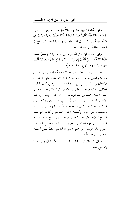وهي الكلمة الطيبة المضروبة مثلاً قبل ذلك إذ يقول تعـــالى: ﴿ضَرَبَ اللَّهُ مَثَلًا كَلِمَةً طَيِّبَةً كَشَجَرَةٍ طَيِّبَةٍ أَصْلُهَا ثَابتٌ وَفَرْعُهَا فِي السَّمَاءِ﴾ أصلها ثابت في قلب المؤمن، وفرعها العمل الصـــالح في السماء صاعدًا إلى الله عز وجل.

وهي الحسنة التي ذكر الله عز وحل إذ يقـــول: ﴿مَـــنْ جَـــاءَ بِالْحَسَنَةِ فَلَهُ عَشْرُ أَمْثَالِهَا﴾، وقال تعالى: ﴿هَنْ جَاءَ بِالْحَسَنَةِ فَلَـــهُ خَيْرٌ مِنْهَا وَهُمْ مِنْ فَزَعٍ يَوْمَئِذٍ آَمِنُونَ﴾.

حقيق بمن عرف فضل «لا إله إلا الله» أن يحرص على تعلــــم معناها والعمل به. وأن يهتم بذلك غاية الاهتمام ويعتني به غايـــة الاعتناء، وإنه لميسر على من يسره الله عليه موجود في كتب العلماء المحققين، كالإمام المحدد لمعالم الإسلام في القرن الثاني عشر الهجري شيخ الإسلام محمد بن عبد الوهاب — رحمه الله — وذلك في كتبه «كتاب التوحيد الذي هو حق الله علـــي العبيـــد»، و«الأصـــول الثلاثة»، و«كشف الشبهات»، جزاه الله عنـــا وعـــن الإســــلام والمسلمين خير الجزاء، وكذلك «فتح المحيد شرح كتاب التوحيد» للشيخ العلامة المحقق عبد الرحمن بن حسن بن الشيخ محمد بن عبد الوهاب — رحمهم الله تعالى أجمعين –، وكذلك «معارج القبــــول بشرح سلم الوصول إلى علم الأصول» للشيخ حافظ بـــن أحمـــد حکمی – , حمه الله–.

أسأل الله تعالى أن يرزقنا علمًا نافعًا، وعملاً متقبلاً، و,; قَا طيبًا إنه سميع الدعاء.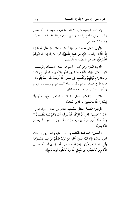إن كلمة التوحيد لا إله إلا الله، لها شروط سبعة يجب أن يعمل هما المسلم في الباطن والظاهر، حتى يكون مؤمنًا حقَّـــا مســــتقيمًا، وهذه الشروط هي:

الأول: العلم بمعناها نفيًا وإثباتًا لقوله تعالى: ﴿فَاعْلَمْ أَنَّهُ لَا إِلَهَ إلَّا اللَّهُ﴾، ولقوله: ﴿إِلَّا مَنْ شَهِدَ بِالْحَقِّ﴾ أي: بلا إله إلا الله ﴿وَهُمْ يَعْلَمُونَ﴾ بقلوهم ما نطقوا به بألسنتهم.

الثاني: اليقين وهو كمال العلم بما، المنافي للشـــك والريـــب، لقوله تعالى: ﴿إِنَّمَا الْمُؤْمِنُونَ الَّذِينَ آَمَنُوا بِاللَّهِ وَرَسُولِهِ ثُمَّ لَمْ يَرْتَابُوا وَجَاهَدُوا بِأَمْوَالِهِمْ وَأَنْفُسهِمْ فِي سَبِيلِ اللَّهِ أُولَئِكَ هُمُ الصَّادِقُونَ﴾، فاشترط في صدق إيمانهم بالله ورسوله كـــوفمم لم يرتــــابوا، أي لم يشكوا، فأما المرتاب فهو من المنافقين.

الثالث: الإخلاص المنافي للشرك، لقوله تعالى: ﴿وَمَا أُمِرُوا إِلَّا لِيَعْبُدُوا اللَّهَ مُخْلِصِينَ لَهُ الدِّينَ حُنَفَاءَ﴾.

الرابع: الصدق المنافي للكذب، المانع من النفاق، لقوله تعالى: ﴿الِم \* أَحَسبَ النَّاسُ أَنْ يُتْرَكُوا أَنْ يَقُولُوا آَمَنَّا وَهُمْ لَــا يُفْتُنُـــونَ \* وَلَقَدْ فَتَنَّا الَّذِينَ مِنْ قَبْلِهِمْ فَلَيَعْلَمَنَّ اللَّهُ الَّـــٰذِينَ صَــــٰدَقُوا وَلَـــيَعْلَمَنَّ الْكَاذِبِينَ﴾.

الخامس: المحبة لهذه الكلمة ولما دلت عليه والســـرور بـــذلك لقوله تعالى: ﴿يَا أَيُّهَا الَّذِينَ آَمَنُوا مَنْ يَرْتَدَّ مِنْكُمْ عَنْ دِينهِ فَسَــوْفَ يَأْتِي اللَّهُ بقَوْمٍ يُحِبُّهُمْ وَيُحِبُّونَهُ أَذِلَّةٍ عَلَى الْمُسؤْمِنِينَ أَعِسزَّةٍ عَلَـــى الْكَافِرِينَ يُجَاهِّدُونَ فِي سَبيلِ اللَّهِ وَلَا يَخَافُونَ لَوْمَةَ لَائِمٍ﴾.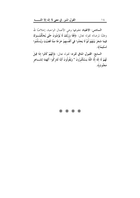**السادس: الانقياد** بحقوقها وهي الأعمال الواحبة، إحلاصًا لله وطلبًا لمرضاته لقوله تعالى: ﴿فَلَا وَرَبِّكَ لَا يُؤْمِنُونَ حَتَّى يُحَكِّمُــوكَ فِيمَا شَجَرَ بَيْنَهُمْ ثُمَّ لَا يَجِدُوا فِي أَنْفُسِهِمْ حَرَجًا مِمَّا قَضَيْتَ وَيُسَلِّمُوا تَسْلِيمًا﴾.

السابع: القبول المنافي للرد؛ لقوله تعالى: ﴿إِنَّهُمْ كَانُوا إِذَا قِيلَ لَهُمْ لَا إِلَهَ إِلَّا اللَّهُ يَسْتَكْبِرُونَ \* وَيَقُولُونَ أَئِنَّا لَتَارِكُوا آَلِهَتِنَا لِشَـــاعِرٍ مَجْنُونِ﴾.

\* \* \* \*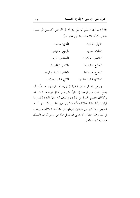إذا أردت أيها المسلم أن تأتي بلا إله إلا الله على أكمــــل الوجـــــوه ينبغي لك أن تلاحظ فيها اثني عشر أمرًا.

| الأول: لفظها.               | الثاني: معناها.                   |
|-----------------------------|-----------------------------------|
| الثالث: حقها.               | ا <b>لرابع</b> : حقيقتها.         |
| ا <b>لخامس</b> : حكمها.     | <mark>السادس</mark> : لازمها.     |
| ا <b>لسابع</b> : مقتضاها.   | <mark>الثامن</mark> : نواقضها.    |
| ا <b>لتاسع</b> : متممالها.  | ا <b>لعاشر</b> : فائدهّا وثمرهّا. |
| ا <b>لحادي عشر</b> : فضلها. | <mark>الثاني عشر</mark> : إعراها. |

وينبغي للذاكر ها في لفظها أن لا يمد ألــف«لا» حـــدًّا، وأن يقطع الهمزة من «إله»؛ إذ كثيرًا ما يلحن القائل فيرددهــــا «يــــا» وكذلك يفصح الهمزة من «إلا»، ويخفف لام «إلا الله»؛ لكسر ما قبلها، وأما لفظة الجلالة «الله» فلا يزيد فيها علـــي مقــــدار المــــد الطبيعي، إذ كثير من المؤذنين يفرطون في مد لفظ الجلالة، ويزيدون في المد وهذا خطأً، ولا ينبغي أن يفعل هذا من يرجو ثواب ذلــــك من ربه تبارك وتعالى.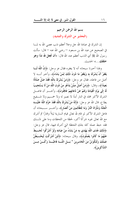بسم الله الرحمن الرحيم (التحذير من الشرك والتنديد)

إن الشرك في عبادة الله حل وعلا أعظم ذنب عصى الله به لمــــا في الصحيح عن عبد الله بن مسعود — رضي الله عنه — قال: سألت رسول الله ﷺ أي الذنب أعظم عند الله قال: «أ**ن تجع**ل لله **ندًا وهو** خلقك...» الحديث.

ولهذا أخبرنا سبحانه أنه لا يغفره فقال عز وجل: ﴿إِنَّ اللَّهَ لَـــا يَغْفِرُ أَنْ يُشْرَكَ بِهِ وَيَغْفِرُ مَا دُونَ ذَلِكَ لِمَنْ يَشَاءُ﴾، وأحبر أنــــه لا أضل من فاعله، فقال عز وحل: ﴿وَمَنْ يُشْرِكْ بِاللَّهِ فَقَدْ ضَلَّ ضَلَالًا بَعِيدًا﴾، وقال: ﴿وَمَنْ أَضَلُّ مِمَّنْ يَدْعُو مِنْ دُونِ اللَّهِ مَنْ لَا يَسْتَجِيبُ لَهُ إلَى يَوْم الْقِيَامَةِ وَهُمْ عَنْ دُعَائِهِمْ غَافِلُونَ﴾، وأحـــــــبر أن فاعـــــل الشرك الأكبر مخلد في النار أبدًا لا نصير له ولا حمـــيم ولا شـــفيع يطاع، قال الله عز وحل: ﴿إِنَّهُ مَنْ يُشْرِكْ بِاللَّهِ فَقَدْ حَرَّمَ اللَّهُ عَلَيْـــهِ الْحَنَّةَ وَمَأْوَاهُ النَّارُ وَمَا لِلظَّالِمِينَ مِنْ أَنْصَارٍ﴾، وأخـــــــــر ســــبحانه أن فاعل الشرك الأكبر لو قام لله تعالى قيام اَلسارية ليلاً وفمارًا ثم أشرك مع الله تعالى غيره شركًا أكبر، لحظة من اللحظات وما على ذلــــك فقد حبط عمله كله بتلك اللحظة التي أشرك فيها، قال عز وحل: ﴿ذَلِكَ هُدَى اللَّهِ يَهْدِي بهِ مَنْ يَشَاءُ مِنْ عِبَادِهِ وَلَوْ أَشْرَكُوا لَحَــبطَ عَنْهُمْ مَا كَانُوا يَعْمَلُونَ﴾، وقال سبحانه: ﴿لَئِنْ أَشْرَكْتَ لَيَحْــبَطَٰنَّ عَمَلُكَ وَلَتَكُونَنَّ مِنَ الْخَاسِرِينَ \* بَـــل اللَّـــهَ فَاعْبُـــدْ وَكُـــنْ مِـــنَ الشَّاكِرِينَ﴾.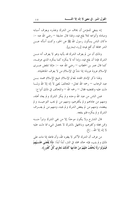إنه ينبغي للمؤمن أن يخاف من الشرك ويحذره ويعرف أسبابه ومبادئه وأنواعه لئلا يقع فيه، ولهذا قال حذيفة — رضي الله عنه –: «كان الناس يسألون رسول الله ﷺ عن الخير، وكنت أسأله عــــن الشر مخافة أن أقع فيه» [رواه البخاري].

وذلك أن من لم يعرف الشرك قد يأتيه وهو لا يعرف أنه مــــن الشرك فإما أن يقع فيه، وإما أنه لا ينكره كما ينكره الذي عرفــه، كما قال عمر بن الخطاب — رضي الله عنه –: «إنما تنقض عـــرى الإسلام عروة عروة؛ إذا نشأ في الإسلام من لا يعرف الجاهلية».

ولهذا ذكر الإمام المجدد لمعالم الإسلام شيخ الإسلام محمد بسن عبد الوهاب — رحمه الله تعالى– المخالفَ لمعنى لا إله إلا الله ولمــــا دلت عليه وتقتضيه فقال — رحمه الله — والمخالف في ذلك أنواع:

فمن الناس من عبد الله وحده و لم ينكر الشرك و لم يعاد أهله، ومنهم من عاداهم و لم يكفرهم، ومنهم من لم يحب التوحيــد و لم يبغضه، ومنهم من لم يبغض الشرك و لم يحبه، ومنهم من لم يعـــرف الشرك و لم ينكره فلم ينفعه.

قال الشارح ولا يكون موحدًا إلا من نفي الشرك وتبرأ منــــه وممن فعله وكفرهم، وبالجهل بالشرك لا يحصل شيء مما دلت عليه لا إله إلا الله.. إلخ.

من عرف أن الشرك الأكبر لا يغفره الله، وأن فاعله إذا مات على ذلك و لم يتب، فإنه حالد مخلد في النار، أبدًا أبدًا: ﴿لَا يُقْضَى عَلَــــيْهِمْ فَيَمُوتُوا وَلَا يُخَفَّفُ عَنْهُمْ مِنْ عَذَابِهَا كَذَلِكَ نَجْزِي كُلَّ كَفُورٍ﴾.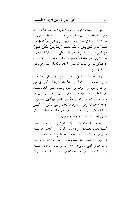أوجب له شده الخوف من هذا الذنب الذي هذا شأنه عنـــد الله، كما حاف من ذلك الخليل على نفسه وبنيه، فدعا ربه أن يجنبه عبادة الأصنام، قال الله عز وحل: ﴿وَإِذْ قَالَ إِبْرَاهِيمُ رَبِّ اجْعَلْ هَذَا الْبَلَدَ آمِنًا وَاجْنُبْني وَبَنيَّ أَنْ نَعْبُدَ الْأَصْنَامَ \* رَبِّ إِنَّهُنَّ أَضْلَلْنَ كَــثِيرًا مِنَ النَّاسِ﴾، فدعا الخليل إبراهيم عليه وعلى نبينا الصلاة السلام ربه أولاً بما يعينه على طاعة الله، وهو كون محل العابد آمنًا لا يخاف فيه إذ يتمكن فيه من عبادة الله تعالى، ثم دعا ثانيًا بأن يجنب هو وبنوه عبادة الأصنام.

وهذا الدعاء من الخليل – عليه السلام – يدل على شدة حوفه على نفسه ومن هو دونه أن يعبد الأصنام، فعلينا أن نتأسى بإبراهيم نبي الله ورسوله في الخوف من الشرك وطلب حسن الخاتمة، فقـــد كرر الخليل عليه السلام النداء وذكر السبب في طلبه أن يجنب هو وبنوه عبادة الأصنام بقوله: ﴿وَبِّ إِنَّهُنَّ أَضْلَلْنَ كَثِيرًا مِنَ النَّـــاس﴾، إذا قد شاهد أباه وقومه يعبدون الأصنام، ومعنى أضللن، أي كـــن سببًا لإضلال كثير من الناس، والمعنى ألهم ضلوا بعبادقما كما يقال فتنتهم الدنيا، أي افتتنوا ها واغتروا بسببها.

فاعتنوا رحمكم الله باقتناء الكتب التي تبين ذلـــك وتوضـــحه، كــــ«كشف الشبهات»، و«الأصول الثلاثة»، و«كتاب التوحيـــد الذي هو حق الله على العبيد»، وشرحه «فتح المحيد»، و«مجموعـــة التوحيد» التي تشتمل على ستة وعشرين رســـالة لأئمــــة الهـــدى وخيارهم في التقى شيخي الإسلام أحمد ابن تيمية الحراني، ومحمـــد بن عبد الوهاب، ومن حذا حذوهما من علماء السلف رحمهــــم الله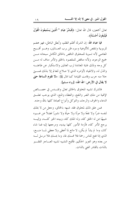تعالى أجمعين، قال الله تعالى: ﴿فَبَشِّرْ عِبَادِ \* الَّذِينَ يَسْتَمِعُونَ الْقَوْلَ فَيَتَّبِعُونَ أَحْسَنَهُ﴾.

فيا عباد الله: إن الشرك أظلم الظلم، وأبطل الباطل، فهو هضم للربوبية وتنقص للألوهية وسوء ظن برب العـــالمين، وهــــو أقــــبح المعاصي لأنه تسوية للمخلوق الناقص بالخالق الكامل سبحانه مسن جميع الوجوه، ولأنه مناقض للمقصود بالخلق والأمر مناف له مـــن كل وجه وذلك غاية المعاندة لرب العالمين والاستكبار عن طاعتــه والذل له، والانقياد لأوامره الذي لا صلاح للعالم إلا بذلك فمستى خلا منه خرب وقامت القيامة كما قال ﷺ: «لا تقوم ال**ساعة حتى** لا يقال في الأرض: الله الله» [رواه مسلم].

فالشرك تشبيه المخلوق بالخالق تعالى وتقسدس في خصسائص الإلهية من ملك الضر والنفع، والعطاء والمنع، الذي يوجب تعلــق الدعاء والخوف والرجاء، والتوكل وأنواع العبادة كلها بالله وحده.

فمن علق ذلك لمخلوق فقد شبهه بالخالق، وجعل من لا يملك لنفسه ضرًا ولا نفعًا ولا موتًا ولا حياًة ولا نشورًا فضلاً عن غــــيره شبيهًا بمن له الخلق كله، وله الملك كله، وبيده الخير كلَّــه، وإليـــه يرجع الأمر كله، فأزمة الأمور كلها بيديه، ومرجعها إليه فما شاء كان، وما لم يشأ لم يكن، لا مانع لما أعطى ولا معطى لمــــا منــــع، الذي إذا فتح للناس رحمة فلا ممسك لها، وما يمسك فلا مرسل لـــه من بعده وهو العزيز الحكيم. فأقبح التشبيه تشبيه العــــاجز الفقــــير بالذات بالقادر الغني بالذات.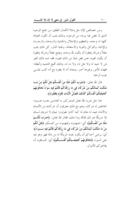ومن خصائص الإله جل وعلا الكمال المطلق، من جميع الوجوه الذي لا نقص فيه بوجه من الوجوه، وذلك يجب أن تكون العبادة كلها له وحده، والتعظيم والإحلال والخشية والسدعاء والرجساء والإنابة، والتوكل والتوبة والاستعانة، وغاية الذل، كل ذلك يجب عقلاً وشرعًا وفطرة أن يكون لله وحده، ويمتنع عقلاً وشرعًا وفطرة أن يكون لغيره، فمن فعل شيئًا من ذلك لغيره، فقد شبه ذلك الغير بمن لا شبيه له ولا مثل له، ولا ند له، وذلك أقبح التشبيه وأبطله؛ فلهذه الأمور وغيرها أحبر سبحانه أنه لا يغفره مع أنه كتب علـــي نفسه الرحمة.

قال الله تعالى: ﴿ضَرَبَ لَكُمْ مَثَلًا مِنْ أَنْفُسكُمْ هَلْ لَكُمْ مِنْ مَــا مَلَكَتْ أَيْمَانُكُمْ مِنْ شُرَكَاءَ فِي مَا رَزَقْنَاكُمْ فَأَنْتُمْ فِيهِ سَوَاءٌ تَخَافُونَهُمْ كَخِيفَتِكُمْ أَنْفُسَكُمْ كَذَلِكَ نُفَصِّلُ الْآيَاتِ لِقَوْمٍ يَعْقِلُونَ﴾.

هذا مثل ضربه الله تعالى للمشركين به العابدين معــــه غــــــيره، الجاعلين له شركاء، وهم مع ذلك معترفون أن شركاءه من الأصنام والأنداد عبيد له ملك له كما كانوا يقولون: لبيك لا شريك لـــك إلا شريكًا هو لك تملكه وما ملك، فقال الله تعالى: ﴿عَفَرَبَ لَكُـــمْ مَثَلًا مِنْ أَنْفُسكُمْ﴾ أي: تشهدونه وتفهمونه من أنفسكم ﴿هَلْ لَكُمْ مِنْ مَا مَلَكَتْ أَيْمَانُكُمْ مِنْ شُرَكَاءَ فِي مَا رَزَقْنَاكُمْ فَأَنْتُمْ فِيهِ سَــوَاءٌ﴾ أي: يرضى أحدكم أن يكون عبده شريكًا له من ماله فهو وهو فيه على السواءِ ﴿قَخَافُونَهُمْ كَخِيفَتِكُمْ أَنْفُسَـكُمْ﴾ أي: تخــافون أن يقاسمو كم الأموال.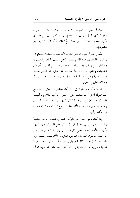قال أبو مجلز : إن مملوكك لا تخاف أن يقاسمك مالك وليس له ذاك كذلك الله لا شريك له، والمعنى أن أحدكم يأنف من ذلـــك فكيف تحعلون لله الأنداد من حلقه ﴿كَذَلِكَ نُفَصِّلُ الْآَيَـــاتِ لِقَـــوْم يَعْقِلُونَ﴾.

فأهل العقول يعرفون قبح الشرك لأنه تسوية للمالك بالمملوك، والخالق بالمخلوق، هذا إذا لم يتلطخ العقل بشعب الكفر والشــــرك والنفاق، و لم يتدنس بدنس الذنوب والسيئات، و لم يختل بسأمراض الشبهات والشهوات، فإنه يدل صاحبه على فطرة الله الــــتي فطــــر الناس عليها وهي الملة الحنيفية ملة إبراهيم ودين محمد صلوات الله وسلامه عليهم أجمعين.

لو أن ملكًا من الملوك في الدنيا أتاه مظلوم من رعاياه فدعاه مع عبد مملوك له في أحذ مظلمته مثل أن يقول: يا أيها الملك ويا أيهـــا المملوك حذا مظلمتي من هذا؟ لكان ذلك من الخطأ والقبح الـــذي ينكره كلٌّ ذي عقل سليم لأنه دعا الملك مع مملوكه وشاركه معـــه في حكمه وأمره.

إذا كان دعوة الملك مع مملوكه جميعًا في قضاء الحاجة خطـــأ وقبيحًا، وهم من بني آدم إلا أن الله تعالى جعل المملوك تحت الملك، فكيف بالأحد الصمد الحي القيوم، الذي ليس كمثله شيء؛ يدعى مع عبده المخلوق الضعيف العاجز، الذي لا يملك لنفسه ضــرًا ولا نفعًا حيًا كان أو ميتًا؟!! كأن يقول: «يا الله يا عيدروس» أو « يا الله يا حسين» أو «يا الله يا رسول الله»، وقد أعلمنا الله سبحانه أن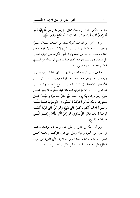هذا من الكفر بالله تعالى، فقال تعالى: ﴿وَمَنْ يَلْاعُ مَعَ اللَّهِ إِلَهًا آَخَرَ لَا بُرْهَانَ لَهُ بهِ فَإِنَّمَا حِسَابُهُ عِنْدَ رَبِّهِ إِنَّهُ لَا يُفْلِحُ الْكَافِرُونَ﴾.

ومثال آخر: لو أن غنيًا كريمًا ينفق من أصناف المسال ســـرًا وجهرًا، وعنده مملوك لا يقدر على شيء لا لنفسه ولا لغيره، فجاء محتاج وطلب حاجته من العبد وترك الغني الكريم، هل يجوزه العقل، بل يستنكره ويستقبحه؛ فإذا كان هذا يستقبح أن يفعله مع الغــــني الكريم وعبده، وهم من بني آدم.

فكيف برب البرايا والعالمين مالك الملسك والملكسوت يتسرك ويعرض عنه ويدعى من دونه المخلوق الضعيف؛ بل المسوتي بسل الأشجار والأحجار في كشف الكربات ودفع الملمات، وقد ذكــر الله تعالى ذلك بقوله: ﴿ضَوَبَ اللَّهُ هَثَلًا عَبْدًا مَمْلُوكًا لَا يَقْدِرُ عَلَـــى شَيْء وَمَنْ رَزَقْنَاهُ مِنَّا رِزْقًا حَسَنًا فَهُوَ يُنْفِقُ مِنْهُ سِرًّا وَجَهْـــرًا هَــــلْ يَسْتَوُونَ الْحَمْدُ لِلَّهِ بَلْ أَكْثَرُهُمْ لَا يَعْلَمُونَ﴾، ﴿وَضَرَبَ اللَّـــهُ مَثَلًـــا رَجُلَيْنِ أَحَدُهُمَا أَبْكَمُ لَا يَقْدِرُ عَلَى شَيْءٍ وَهُوَ كَلٌّ عَلَى مَوْلَاهُ أَيْنَمَـــا يُوَجِّهْهُ لَا يَأْتِ بخَيْرِ هَلْ يَسْتَوِي هُوَ وَمَنْ يَأْمُرُ بِالْعَدْلِ وَهُـــوَ عَلَــــى صِرَاطٍ مُسْتَقِيمٍ﴾.

ولو أن أحدًا من الناس مر على مقبرة ومعه دابة فوقعت دابتـــه في حفرة من الحفر، وحوله رجل حي قوي فتركــه ودعـــا أهــــل القبور، يا فلان يا فلان يعدد الموتى ساعدون على دابتي، هل يجوزه العقل، بل ينكره ويستقبحه، وكل عاقل يوبخه على فعله هذا.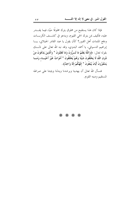فإذا كان هذا يستقبح من مخلوق يترك مخلوقًا حيًا، فيما يقــــدر عليه، فكيف بمن يترك الحي القيوم، ويدعو في كشـــف الكربــــات ودفع الملمات أهل القبور؟ كأن يقول يا عبد القادر الجيلاني، يـــا إبراهيم الدسوقي، يا أحمد البدوي، وقد نبه الله تعالى على ذلـــك بقوله تعالى: ﴿وَاللَّهُ يَعْلَمُ مَا تُسوُّونَ وَمَا تُعْلِنُونَ \* وَالَّذِينَ يَدْعُونَ مِنْ دُونِ اللَّهِ لَا يَخْلُقُونَ شَيْئًا وَهُمْ يُخْلَقُونَ \* أَمْوَاتٌ غَيْرُ أَحْيَــاءِ وَمَـــا يَشْعُرُونَ أَيَّانَ يُبْعَثُونَ \* إِلَهُكُمْ إِلَهٌ وَاحِدٌ﴾.

فنسأل الله تعالى أن يهدينا ويرشدنا ويدلنا ويثبتنا على صراطه المستقيم ودينه القويم.

\* \* \* \*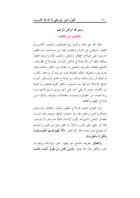بسم الله الرحمن الرحيم (التحذير من النفاق)

اتقوا الله حق تقاته وكونوا مع الصادقين، واحتنبوا الكذب في الظاهر والباطن، في اللسان والقلب، فإنه من صفات المنافقين احرصوا على إصلاح الظاهر والباطن، وتجنب الإثم والرذيلة ظاهرًا وباطنًا، فلقد أمر الله بإصلاح الباطن كما أمر بإصــــلاح الظــــاهر، فأصلح العقائد بالتوحيد فحصل به الصلة بين الخالق والمخلــوق، بحيث يفرد المخلوق خالقه بالعبادة دون تشريك أو مزاحمة، بكذب أو نفاق أو رياء وسمعة، وذلك من إصلاح المخبر والبـــاطن كمــــا أصلح الإسلام الروابط بين المسلمين بالخلق القويم فحصل به الصلة بين الأفراد، بحيث لا يبغي أحد على أحد ويرى المسلم لأخيه مـــا يراه لنفسه، من حقوق وواجبات والمعاملات وغيرها، وذلك مـــن إصلاح المظهر والظاهر.

وإن الطريق القويم لإصلاح المظهر والمخبر والظاهر والبـــاطن وإصلاح الدين والخلق معًا، هو احتناب النفاق بنوعيه، فإنه الــــداء العضال الباطن، الذي قد يكون الإنسان ممتلئًا منه وهو لا يشــــعر، فإنه أمر خفي على الناس، وكثيرًا ما يخفي على من تلبس به فيزعم أنه مصلح وهو مفسد قال الله تعالى: ﴿أَلَا إِنَّهُمْ هُـــمُ الْمُفْســــدُونَ وَلَكِنْ لَا يَشْعُرُونَ﴾.

والنفاق: بتعريفه الجامع، هو إظهار الخير والإسلام وإبطـــان الشر والكفر. قال الله تعالى: ﴿وَمِنَ النَّاسِ مَنْ يَقُولُ آَمَنَّــا بِاللَّـــهِ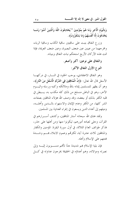وَبِالْيَوْمِ الْآخِرِ وَمَا هُمْ بِمُؤْمِنِينَ \* يُخَادِعُونَ اللَّهَ وَالَّذِينَ آَمَنُوا وَمَـــا يَخْدَعُونَ إِلَّا أَنْفُسَهُمْ وَمَا يَشْعُرُونَ﴾.

وزرع النفاق ينبت على ساقيتين ساقية الكذب وساقية الرياء، ومخرجهما من عينين عين ضعف البصيرة، وعين ضعف العزيمة، فإذا تمت هذه الأركان الأربع استحكم نبات النفاق وبنيانه.

> والنفاق على نوعين: أكبر وأصغر . النوع الأول النفاق الأكبر:

وهو النفاق الاعتقادي، يوجب الخلود في النـــار، في دركهـــا الأسفل قال الله تعالى: ﴿إِنَّ الْمُنَافِقِينَ فِي الدَّرْكِ الْأَسْفَلِ مِنَ النَّارِ﴾، وهو أن يظهر للمسلمين إيمانه بالله وملائكته وكتبه ورسله واليــــوم الآخر، وهو في الباطن منسلخ من ذلك كله مكذب به، يـــبطن في قلبه الكفر بذلك أو ببعضه، وقد وصف الله هؤلاء المنافقين بصفات الشر كلها، من الكفر وعدم الإيمان والاستهزاء بالـــدين وأهلــــه، وميلهم إلى أعداء الدين ويسعون في إغراء العداوة بين المسلمين.

ولقد هتك الله سبحانه أستار المنافقين، وكشف أســــرارهم في القرآن، وجلَّى لعباده أمورهم، ليكونوا منها ومن أهلها على حذر، فذكر طوائف العالم الثلاثة، في أول سورة البقرة: المؤمنين والكفار والمنافقين ثلاث عشرة آية، لكثرتمم وعموم الابتلاء بمـــم وشـــدة فتنتهم على الإسلام وأهله.

فإن بلية الإسلام بهم شديدة جدًا لأفمم منســــوبون إليـــــه وإلى نصرته وموالاته، وهم أعداؤه في الحقيقة يخرجون عداوته في كــــل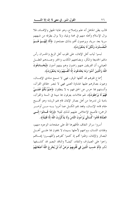قالب يظن الجاهل أنه علم وإصلاح، وهو غاية الجهل والإفساد، فلا يزال الإسلام وأهله منهم في محنة وبلية، ولا يزال يطرقه من شبههم سرية بعد سرية، ويزعمون ألهم بذلك مصلحون ﴿أَلَا إِنَّهُـــمْ هُـــمُ الْمُفْسِدُونَ وَلَكِنْ لَا يَشْعُرُونَ﴾.

لبسوا ثياب أهل الإيمان، على قلوب أهل الزيغ والخسران رأس مالهم الخديعة والمكر، وبضاعتهم الكذب والختر وعنسدهم العقسل المعيشي، أن الفريقين عنهم راضون وهم بينهم آمنون ﴿**يُخَــادِعُونَ** اللَّهَ وَالَّذِينَ آَمَنُوا وَمَا يَخْدَعُونَ إلَّا أَنْفُسَهُمْ وَمَا يَشْعُرُونَ﴾.

أِسماع قلوبهم قد أثقلها الوقر، فهي لا تسمع منادي الإيمــــان، وعيون بصائرهم عليها غشاوة العمى فهي لا تبصر حقائق القرآن، وألسنتهم بما حرس عن الحق فهم به لا ينطقون ﴿صُمٌّ بُكْمٌ عُمْـــىٌ فَهُمْ لَا يَوْجِعُونَ﴾، لهم علامات يعرفون بما مبينة في السنة والقرآن، بادية لمن تدبرها من أهل بصائر الإيمان قام بهم الرياء؛ وهو أقـــبح مقام قامه الإنسان، وقعد هم الكسل عما أمروا بـــه مـــن أوامـــر الرحمن؛ فأصبح الإخلاص عليهم لذلك ثقيلا ﴿وَإِذَا قَــاهُوا إِلَـــى الصَّلَاةِ قَامُوا كُسَالَى يُرَاءُونَ النَّاسَ وَلَا يَذْكُرُونَ اللَّهَ إِلَّا قَلِيلًا﴾.

أسروا سرائر النفاق، فأظهرها الله على صفحات الوجوه منهم، وفلتات اللسان، ووسمهم لأحلها بسيماء لا يخفون ها علـــي أهــــل البصائر والإيمان، وظنوا أفمم إذ كتموا كفرهم وأظهـــروا إيمــــالهم راجوا على الصيارف والنقاد، كيف؟ والناقد البصير قد كشــفها لكم ﴿أَمْ حَسبَ الَّذِينَ فِي قُلُوبِهِمْ مَرَضٌ أَنْ لَنْ يُخْرِجَ اللَّهُ أَصْغَانَهُمْ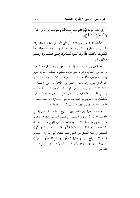\* وَلَوْ نَشَاءُ لَأَرَيْنَاكَهُمْ فَلَعَرَفْتَهُمْ بسيمَاهُمْ وَلَتَعْرِفَنَّهُمْ فِي لَحْنِ الْقَوْل وَاللَّهُ يَعْلَمُ أَعْمَالَكُمْ﴾.

فكيف إذ جمعوا ليوم التلاق، وتحلي الله حل حلاله للعباد، وقد كشف عن ساق ودعوا إلى السجود فـــلا يســـتطيعون ﴿خَاشِـــعَةً أَبْصَارُهُمْ تَرْهَقُهُمْ ذِلَّةٌ وَقَدْ كَانُوا يُسدْعَوْنَ إلَـــى السُّـــجُودِ وَهُـــمْ سَالِمُونَ﴾.

أم كيف هم إذا حشروا إلى حسر حهنم؟ وهو أدق من الشعرة وأحد من الحسام، وهو دحض مزلة، مظلم لا يقطعه أحد إلا بنور يبصر به مواطئ الأقدام، فقسمت بين الناس الأنوار، وهم على قدر تفاوقما في المرور والذهاب، وأعطوا نورًا ظاهرًا مع أهل الإســــلام، كما كانوا بينهم في هذه الدار يأتون بالصلاة والزكــاة والصـــيام والحج، فلما توسطوا الجسر عصفت على أنوارهم أهوية النفــاق، فأطفأت ما بأيديهم من المصابيح فوقفوا حيـــارى لا يســـتطيعون المرور، فضرب بينهم وبين أهل الإيمان بسور له باب.

ولكن قد حيل بين القوم وبين المفاتيح، باطنه — السذي يلسي المؤمنين – فيه الرحمة، وما يليهم من قبلهم العذاب والنقمة، ينادون من تقدمهم من وفد الإيمان، ومشاعل الركب تلوح علـــى بعـــد كالنجوم، تبدوا لناظر الإنسان ﴿انْظُرُونَا نَقْتَـــبسْ مِـــنْ نُـــوركُمْ﴾ لنتمكن في هذا المضيق من العبور فقد طفئت أنوارنا، ولا حـــواز اليوم إلا بمصباح من نور ﴿قِيلَ ارْجِعُوا وَرَاءَكُمْ فَالْتَمِسُوا نُـــورًا﴾ حيث قسمت الأنوار ، فهيهات الوقسوف لأحسد في مثــــل هــــذا المضمار!.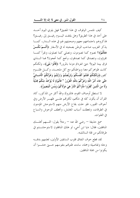كيف نلتمس الوقوف في هذا المضيق؟ فهل يلوى اليوم أحـــد على أحد في هذا الطريق؟ وهل يلتفت اليــــوم رفيــــق إلى رفيــــق؟ فذكروهم باحتماعهم معهم وصحبتهم لهم في هذه السدار، كمسا يذكر الغريب صاحب الوطن بصحبته له في الأسفار ﴿أَلَسِمْ نَكُسْنْ مَعَكُمْ﴾؟ نصوم كما تصومون، ونصلي كما تصلونِ، ونقرأ كمـــا تقرؤون، ونتصدق كما تصدقون، ونحج كما تحجون؟ فما الـــذي فرق بيننا اليوم؟ حتى انفردتم دوننا بالمرور؟ ﴿قَالُوا بَلَمِي﴾، ولكنكم كانت ظواهركم معنا وبواطنكم مع كل ملحـــد، وكـــل ظلـــوم كفور ﴿وَلَكِنَّكُمْ فَتَنْتُمْ أَنْفُسَكُمْ وَتَرَبَّصْتُمْ وَارْتَبْتُمْ وَغَرَّتْكُمُ الْأَمَــانِيُّ حَتَّى جَاءَ أَمْرُ اللَّهِ وَغَرَّكُمْ بِاللَّهِ الْغَرُورُ \* فَالْيَوْمَ لَا يُؤْخَذُ مِنْكُمْ فِلْيَةٌ وَلَا مِنَ الَّذِينَ كَفَرُوا مَأْوَاكُمُ النَّارُ هِيَ مَوْلَاكُمْ وَبِئْسَ الْمَصِيرُ﴾.

لا تستطل أوصاف القوم، فالمتروك والله أكثر من المذكور، كاد القرآن أن يكون كله في شألهم، لكثرقم علـــي ظهـــر الأرض وفي أجواف القبور، فلو حلت بقاع الأرض منهم لاستوحش المؤمنون في الطرقات، وتعطلت أسباب المعايش، وتخطف الوحوش والسباع في الفلوات.

سمع حذيفة — رضي الله عنه — رحلاً يقول: اللــــهم أهلــــك المنافقين، فقال: «يا ابن أخي، لو هلك المنافقون لاستوحشــتم في طرقاتكم من قلة السالك».

لقد قطع حوف النفاق قلوب السابقين الأولين، لعلمهم بدقـــه وجله وتفاصيله وجمله، ساءت ظنولهم بنفوسهم حـــتي خشـــوا أن يكونوا من جملة المنافقين.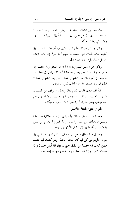قال عمر بن الخطاب لحذيفة — , ضي الله عنــــهما–: « يـــا حذيفة نشدتك بالله هل سمان لك رسول الله ﷺ منهم؟ قـــال: لا. ولا أزكى بعدك أحدًا».

وقال ابن أبي مليكة: «أدرِكت ثلاثين من أصحاب محمــــد ﷺ كلهم يخاف النفاق على نفسه، ما منهم أحد يقول إن إيمانه كإيمان جبريل وميكائيل» [ذكره البخاري].

وذكر عن الحسن البصري: «ما أمنه إلا منافق وما حافٍ إلا مؤمن». ولقد ذكر عن بعض الصحابة أنه كان يقول في دعائــــه: «اللهم إني أعود بك من خشوع النفاق، قيل وما خشوع النفاق؟ قال: أن يرى البدن حاشعًا والقلب ليس بخاشع».

تالله لقد ملئت قلوب القوم إيمانًا ويقينًا، وخوفهم من النفـــاق شديد، وهمهم لذلك ثقيل، وسواهم كثير، منهم من لا يجاوز إيمالهم حناجرهم، وهم يدعون أن إيمالهم كإيمان جبريل وميكائيل.

النوع الثاني: النفاق الأصغر :

وهو النفاق العملي وذلك بأن يظهر الإنسان علانية صــــالحة ويبطن ما يخالفها من الغدر والخيانة، وهذا النوع لا يخرج من الدين بالكلية؛ إلا أنه طريق إلى النفاق الأكبر بل زرعه!.

وأصول هذا النفاق ترجع إلى الخصال المذكورة، في خبر النبي ﷺ بقوله: «أربع من كن فيه كان منافقًا خالصًا، ومن كانت فيه خصلة منهن كانت فيه خصلة من النفاق حتى يدعها، إذا أُتُمِن خــــان وإذا حدث كذب، وإذا عاهد غدر، وإذا خاصم فجر» [متفق عليه].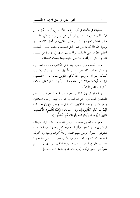فالحيانة في الأمانة في أي نوع من الأنـــواع، أو شـــكل مــــن الأشكال، وبأي وسيلة من الوسائل هي دليل واضح على مخالفة مظهر الخائن لمخبره وذلك من حلق المنافقين، من أجل ذلك حــــذر رسول الله ﷺ أتباعه من هذا الحلق الذميم، واستعاذ مــــن الحيانــــة لعظم حطرها على المسلمين ولما يترتب عليها في الآخرة من سـوء المصير ، فقال: «وأعوذ بك من الخيانة فإنَّما بئست البطانة».

وأما الكذب فهو ظاهرة بينة بخلق الكاذب وضعف نفســـيته وانحلال حلقه، ولقد نفي , سول الله ﷺ عن المسؤمن أن يكسون كذابًا، (قيل له: يا رسول الله أيكون المؤمن جبانًا؟ قال: «نعـــم»، قِيلِ له: أَيكُونَ بَخِيلاً؟ قَالَ: «نَعْم» قِيلَ: أَيْكُونَ كَذَابًا؟ قَالَ: «لاً») [أخرجه مالك في الموطأ] .

وما ذاك إلا لأن الكذب حصلة عار تهدم شخصية المسلم بين المسلمين الصادقين، وتعرضه لعقاب الله يوم تبيض وجوه الصادقين وتغير وتسود وجوه الكاذبين، كما قال عز وجل: ﴿وَلَهُمْ عَـــٰذَابٌ أَلِيمٌ بمَا كَانُوا يَكْذِبُونَ﴾، وقال سبحانه: ﴿إِنَّمَا يَفْتَـــوي الْكَــــذِبَ الَّذِينَ لَا يُؤْمِنُونَ بِآيَاتِ اللَّهِ وَأُولَئِكَ هُمُ الْكَاذِبُونَ﴾.

وعن عبد الله بن مسعود — رضي الله عنه — قال: «إن الشيطان ليتمثل في صور الرحل، فيأتي القوم فيحدثهم بالحديث من الكــــذب فيتفرقون، فيقول الرحل منهم سمعت رحلاً أعرف وجهه ولا أعرف اسمه يحدث كذا وكذا». وعن عبد الله بن عمرو – رضي الله عنهما – قال: «إن في البحر شياطين مسجونة أوثقهما يوشك أن تخـــرج فتقرأ على الناس قرآن» [خرجهما مسلم في مقدمة كتابه الصحيح].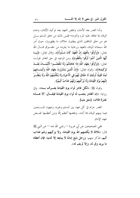وأما الغدر بعد الأمان، ونقض العهد بعد توكيد الأيمان، وعدم هو من خلق المنافقين الذي يبطنون خلاف ما يظهرون، حيث أمر الله سبحانه الوفاء بالعهد ورعاية ما يلتزمه من حقـــوق قـــال الله تعالى: ﴿وَأَوْفُوا بِالْعَهْدِ إِنَّ الْعَهْدَ كَانَ مَسْئُولًا﴾، وقال تعالى: ﴿يَــا أَيُّهَا الَّذِينَ آَمَنُوا أَوْفُوا بِالْعُقُودِ﴾ ومن الوعيد في حق الغادر قولــــه تعالى: ﴿وَأَوْفُوا بِعَهْدِ اللَّهِ إِذَا عَاهَدْتُمْ وَلَا تَنْقُضُــوا الْأَيْمَــانَ بَعْـــدَ تَوْكِيلِهَا﴾، وقولُه تعالى: ﴿إِنَّ الَّذِينَ يَشْتَرُونَ بِعَهْدِ اللَّهِ وَأَيْمَــانهِمْ ثَمَنًا قَلِيلًا أُولَئِكَ لَا خَلَاقَ لَهُمْ فِي الْآخِرَةِ وَلَا يُكَلِّمُهُمُ اللَّهُ وَلَا يَنْظُــَرُ إِلَيْهِمْ يَوْمَ الْقِيَامَةِ وَلَا يُزَكِّيهِمْ وَلَهُمْ عَذَابٌ أَلِيمٌ﴾.

وقوله ﷺ: «لكل غادر لواء يوم القيامة يعــــرف بـــــه». وفي رواية: «إن الغادر ينصب له لواء يوم القيامة فيقـال: ألا هــــذه غدرة فلان» [متفق عليه].

الغدر حرام في كلِّ عهد بين المسلم وغيره، وعهود المســــلمين فيما بينهم الوفاء ها أِشد، ونقضها أعظم إمًّا ومن أعظمها نقــض عهد الامام.

ففي الصحيحين عن أبي هريرة — رضي الله عنه — عن النبي ﷺ قال: «ثلاثة لا يكلمهم الله يوم القيامة، ولا يزكيهم ولهم عذاب أليم، فذكر منهم: ورجل بايع إمامًا لا يبايعه إلا لدنيا، فإن أعطاه ما يريد وفي له، وإلا لم يف له».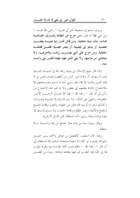وروى مسلم في صحيحه عن أبي هريرة — رضي الله عنــــه — عن النبي ﷺ أنه قال: «من خرج عن الطاعة وفـارق الجماعـــة فمات، مات ميتة جاهلية، ومن قاتل تحت راية عميسة يغضـــب لعصبية، أو يدعو إلى عصبية، أو ينصر عصبية؛ فقتـــل فقتلتـــه جاهلية، ومن خرج على أمتى يضــــرب برّهــــا وفاجرهـــا، ولا يتحاشى من مؤمنها، ولا يفي لذي عهد عهده فليس مني ولست **منه».** 

ولذا قال شيخ الإسلام ابن تيمية رحمه الله في السياسة الشرعية يجب أن يعرف أن ولاية أمور الناس من أعظم واجبات الدين بل لا قيام للدين والدنيا إلا ها، فإن بسني آدم لا تستم مصـــلحتهم إلا بالاجتماع لحاجة بعضهم إلى بعض، ولا بد لهم عند الاجتماع من رأس إلى أن قال — رجمه الله — فإن الله تعـــالى أوحــــب الأمــــر بالمعروف والنهى عن المنكر، ولا يتم ذلــك إلا بقــوة وإمــارة، وكذلك سائر ما أوجبه الله تعالى من الجهاد، والعدل وإقامة الحـــج والجمع والأعياد ونصر المظلوم وإقامة الحدود، ولا يستم ذلــك إلا بقوة وإمارة ولهذا روي: «أن السلطان ظل الله في الأرض».

ويقال ستون سنة من إمام حائر أصلح من ليلة واحــــدة بــــلا سلطان

ولهذا كان السلف، كالفضيل بن عياض وأحمد بـــن حنبــــل وغيرهما يقولون لو كان لنا دعوة مستجابة لدعونا بما للسلطان إلى أن قال — , حمه الله –: «فالواحب اتخاذ الإمارة دينا وقربة يتقرب هِما إِلى اللهِ؛ فإن التقرب إليه فيها بطاعته وطاعة , سوله من أفضــــل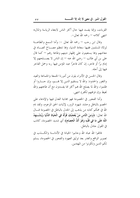القربات، وإنما يفسد فيها حال أكثر الناس لابتغاء الرياسة والمال» انتهى كلامه — , حمه الله تعالى–.

وقال ابن رجب — رحمه الله تعالى –: وأما السمع والطاعـــة لولاة المسلمين ففيها سعادة الدنيا، وها تنتظم مصـــالح العبـــاد في معاشهم وبها يستعينون على إظهار دينهم وطاعة رهم – كما قال على بن أبي طالب — رضي الله عنه — إن الناس لا يصـــــلحهم إلا إمام برًا أو فاجر، إن كان فاجرًا عبد المؤمن فيها ربه وحمل الفاجر فيها إلى أجله.

وقال الحسن في الأمراء يلون من أمورنا الجمعة والجماعة والعيد والثغور والحدود: والله لا يستقيم الدين إلا بهــــم، وإن حــــاروا أو ظلموا، والله لما يصلح الله بهم أكثر مما يفسدون مع أن طاعتهم والله لغيظ وإن فرقتهم لكفر) انتهى.

وأما الفجور في الخصومة فهو مجانبة العدل فيها والإدعاء على الخصم بالباطل وحشد شهود الزور، لإثبات الحق المزعوم، ولقد ذم الله في محكم كتابه من يذهب إلى الجدل بالباطل في الخصومة قــــال الله تعالى: ﴿وَمِنَ النَّاسِ مَنْ يُعْجِبُكَ قَوْلُهُ فِي الْحَيَاةِ الدُّنْيَا وَيُشْـــهِدُ اللَّهَ عَلَى مَا فِي قَلْبِهِ وَهُوَ أَلَدُّ الْخِصَامِ﴾ أي شديد الخصومة، كاذب في القول جادل بالباطل.

فاتقوا الله عباد الله وجانبوا الخيانة في الأمانــــة والكــــذب في تصوير الواقع والغدر بعد توثيق العهود والفجور في الخصومة، يسلم لكم الدين وتكونوا من المهتدين.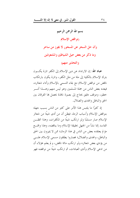

**عباد الله:** إن الارتداد عن دين الإسلام إلى الكفر تارة يكـــون بترك الإسلام بالكلية إلى ملة من ملل الكفر ، وتارة يكون بارتكاب ناقض من نواقض الإسلام مع بقاء التسمي بالإسلام وأداء شعائره، فيعده بعض الناس من جملة المسلمين وهو ليس منهم وهـــذا أمـــر خطير، وموقف دقيق يحتاج إلى بصيرة نافذة يحصل ها الفرقان بين الحق والباطل والهدى والضلال.

إذ كثيرًا ما يلتبس هذا الأمر على كثيرٍ من الناس بسبب جهله بنواقض الإسلام وأسباب الردة، فيظن أن من أدى شيئًا من شعائر الإسلام صار مسلمًا ولو ارتكب شيئًا من المكفرات، وهذا الظـــن الفاسد إنما نشأ من الجهل بحقيقة الإسلام وما يناقضه، وهذا واقـــع مؤلم يعتقده بعض من الناس في هذا الزمان؛ ممن لا يميزون بين الحق والباطل، والهدى والضلال؛ فصاروا يطلقون مسمى الإسلام عليے من يؤدي بعض شعائره ولو ارتكب مائة ناقض، ولم يعلم هؤلاء أن من ادعى الإسلام وأدى العبادات، ثم ارتكب شيئًا من نواقضه فهو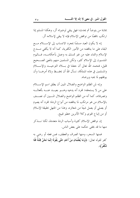بمثابة من يتوضأ ثم يحدث؛ فهل يبقى لوضوئه أثر، وهكذا المسلم إذا ارتكب ناقضًا من نواقض الإسلام فإنه لا يبقى لإسلامه أثر.

إنه لا يكون العبد مسلمًا بمحرد الانتساب إلى الإســـــلام مــــع البقاء على ما يناقضه من الأمور الكفرية، كما أنه لا يكفي مــــدح الإسلام والثناء عليه من غير تمسك به وعمل بأحكامــه، فـــاليوم المنتسبون إلى الإسلام كثير، ولكن المسلمين منهم بالمعنى الصـــحيح قليل، فنحمد الله تعالى أن جعلنا في بــــلاد التوحيــــد والإســـــلام والمسلمين في هذه المملكة، نسأل الله أن يحفــظ ولاة أمرهــــا وأن يوفقهم لما يحبه ويرضاه.

وإنه لمن الظلم الواضح والضلال المبين أن يطلق اسم الإســــلام على من لا يستحقه؛ لمحرد أنه يدعيه وهــــو بعيــــد عنــــه بأفعالــــه وتصرفاته، كما أنه من الظلم الواضح والضلال المسبين أن نصــف بالإسلام من هو مرتكب لما يناقضه من أنواع الردة؛ لمحرد أنه يصوم أو يصلى أو يعمل شيئًا من شعائره، وهذا من الجهل بحقيقة الإسلام أو من إتباع الهوى وكلا الأمرين خطير قبيح.

إن نواقض الإسلام كثيرة وأسباب الردة متعددة، لكنا نــــذكر منها ما قد يخفي حكمه على بعض الناس.

فمنها السحر، ومنها الصرف والعطف، فمن فعله أو رضى به كفر لقوله تعالى: ﴿وَمَا يُعَلِّمَانِ مِنْ أَحَدٍ حَتَّى يَقُولَا إِنَّمَا نَحْنُ فِتْنَةٌ فَلَا تَكْفُرْ﴾.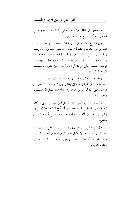والسحر: في اللغة: عبارة عما خفي ولطف ســـببه، وسمـــي السحر سحرًا لأنه يقع خفيا آخر الليل.

وفي الشرع: عقد ورقي، أي قراءات وطلاسم يتوصــــل همــــا الساحر إلى استخدام الشياطين فيما يريد لتضر المسحور، وأدويـــة وعقاقير تؤثر على بدن المسحور وعقله وإرادتـــه وميلـــه فتجـــده ينصرف ويميل، وهو ما يسمى عندهم بالصرف والعطف، فيجعلون الإنسان ينعطف على زوجته أو امرأة أخرى حتى يكون كالبهيمـــة تقوده كما تشاء.

والصرف بالعكس مع ذلك وهو صرف الإنسان عما يهــواه كصرفه مثلاً عن محبة زوجته إلى بغضها وفي تصوره بسأن يتخيـــل الأشياء على خلاف ما هي عليه، وفي عقله فربما يصل إلى الجنسون والعياذ بالله.

والسحر محرم في جميع شرائع الرسل فمن فعله أو رضي به كفر لأن الراضي كالفاعل لقوله تعالى: ﴿وَلَا يُفْلِحُ السَّاحِرُ حَيْثُ أَتَبِي﴾، وقال عز وحل: ﴿وَلَقَدْ عَلِمُوا لَمَنِ اشْتَرَاهُ مَا لَهُ فِي الْـــآخِرَةِ مِـــنْ خَلَاق﴾.

قال ابن عباس: من نصيب، وقال قتادة: علم أهل الكتاب فيما عهد إليهم أن الساحر لا حلاق له في الآخرة، وقال الحسن: ليس له دين، وقد نص أصحاب أحمد — رحمهم الله تعالى — أنــــه يكفــــر بتعلمه وتعليمه.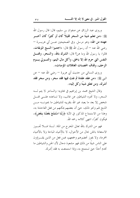وروى عبد الرزاق عن صفوان بن سليم، قال: قال رسول الله ﷺ: «من تعلم شيئًا من السحر قليلاً كان أو كثيرًا كان آخــــو عهده من الله» وهو مرسل. وفي الصحيحين عــــن أبي هريــــرة — رضي الله عنه — أن رسول الله ﷺ قال: «اجتنبوا ا**لسبع الموبقات**، قالوا: يا رسول الله وما هن؟ قال: الشرك بالله، والسحر، وقتـــل النفس التي حرم الله إلا بالحق، وأكل مال اليتم، والتــــولي يـــــوم الزحف، وقذف المحصنات الغافلات المؤمنات».

وروى النسائي من حديث أبي هريرة — رضي الله عنه — عن النبي ﷺ: «من عقد عقدة ثم نفث فيها فقد سحرٍ، ومن سحرٍ فقد أشرك، ومن تعلق شيئًا وكل إليه».

وقال الشيخ محمد بن إبراهيم في فتاويه: والساحر لا يتم لــه السحر ، ولا تخيره الشياطين عن غائب، ولا تساعده علـــي قتــــل شخص إلا بعد ما يعبد غير الله بتقريبه للشياطين ما يحبونــــه مـــــن الذبح لهم ونحو ذلك، حتى أن بعضهم يمكنهم من فعل الفاحشة به، وهذا من الاستمتاع المذكور في الآية ﴿رَبَّنَا اسْتَمْتَعَ بَعْضُنَا بَبَعْضٌ﴾، فیکون کفرًا، انتھی کلامه رحمه الله.

فهو من الشرك بالله تعالى المخرج من الملة. لــــذا فــــلا تجــــوز الاستعانة بالجن بحال من الأحوال، لا بالأشياء المباحة ولا بالأشياء المحرمة، ولا يجوز تحضيرهم وجمعهم، فمن فعل من الذين يقسرؤون على الناس شيئًا من ذلك فهو مشعوذ دحال لأن الجن والشياطين ما تخدم أحدًا حتى تستمتع به، وإذا استمتعت به فقد أِشرك.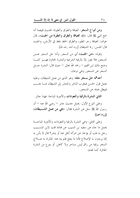ومن أنواع السحر: العيافة والطرق والطيرة؛ لحديث قبيصة أنه سمع النبي ﷺ قال: «إن العيافة والطرق والطيرة من الجبت»، قال عوف: العيافة زحر الطير، والطرق الخط يخط في الأرض، والجبت قال الحسن: رنة الشيطان [رواه أحمد رحمه الله].

وقوله: «هن الجبت» أي من السحر . وأما حل السحر عـــن المسحور فلا يجوز إلا بالرقية الشرعية والنشرة الجائزة فهـــو كمـــا وضح ذلك ابن القيم — رحمه الله تعالى — حيث قال: النشرة حــــل السحر عن المسحور وهي نوعان:

أحدهما حل بسحر مثله: وهو الذي من عمل الشيطان، وعليه يحمل قول الحسن فيتقرب الناشر والمنتشر إلى الشيطان بمسا يحسب فيبطل عمله عن المسحور .

الثاني النشرة بالرقية والتعوذات والأدوية المباحة: فهذا حائز.

وعلى النوع الأول: يحمل حديث حابر — رضي الله عنه — أن رسول الله ﷺ سئل عن النشرة فقال: «هي من عمل ا**لشـــيطان**» [دواه أحمد].

وعلى الثاني: وهي النشرة بالرقية والتعوذات والأدوية المباحــة يحمل ما جاء عن سعيد بن المسيب عن قتادة قلت لابن المســـيب رحل به طب أو يؤخذ عن امرأته أيحل عنه أو ينشر؟ قال لا بأس به إنما يريدون به الإصلاح فأما ما ينفع فلم ينه عنه. فالمراد به عــــلاج السحر برقية من راق ليس بساحر ولا كاهن. أو بنوع من النشرة الجائزة كما تقدم.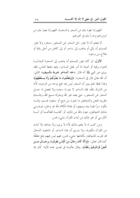اللهم إنا نعوذ بك من السحر والسحرة، اللهم إنا نعوذ بك من شرورهم وندرأ بك في نحورهم.

ثم ليعلم أنه لا يجوز حل السحر عن المسحور بسحر، ولا يجوز للمسلم أن يأتي أو يذهب إلى ساحر أو إلى كاهن من أجل رقية أو علاج من وجوه:

الأول: لو كان يجوز للمسلم أن يذهب إلى السحرة التماسًـــا للدواء برقية أو نحوها لما أمر بقتل الساحر، وفيه منفعة للناس، فقد روي عن النبي ﷺ أنه قال: «حد الساحر ضربة بالسيف» الثاني: أن الله تعالى قال في السحرة: ﴿وَيَتَعَلَّمُونَ مَا يَصْرُهُمْ وَلَا يَسْنُفَعُهُمْ﴾ وهذا لفظ علم يبين أن السحر ليس فيه نفع بوجه من الوجوه، لأنه من الشرك بالله، فإن الساحر لا يتم له سحره ولا يحصل له حــــل السحر عن المسحور، حتى يعبد غير الله ويشرك مــــع الله، وذلـــــك بتقريبه للجن والشياطين ما يحبون من ذبح أو سجود لهـــم، وقـــد يكون سرًا فيما بينه وبينهم، أو إهانة لكلام الله عز وجل، ليرضــــي بذلك الشياطين، نعوذ بالله من ذلك، أو كتابـــة للفاتحـــة أو آيـــة الكرسي أو غير ذلك من آيات القرآن بشيء نجس.

ومن كتب له لا يعلم بذلك لأنه لا يرى، ولا يشاهد إلا آيات من القرآن مكتوبة، ولا يدري أن هذا الساحر أو المشعوذ الدجال قد تقرب للشياطين بكتابتها بشيء نجس، فهم ليس فيهم نفع مطلقًا كما قال تعالى: ﴿وَأَلَّهُ كَانَ رِجَالٌ مِنَ الْإِنْسِ يَعُوذُونَ برجَـــال مِــــنَ الْعِنِّ فَزَادُوهُمْ رَهَقًا﴾، وقال عكرمة في تفسير هذه الآية: كان إذا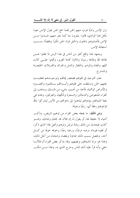نزل الإنس واديًا هرب منهم الجن فلما سمع الجن بقول الإنس نعوذ بأهل هذا الوادي، قالوا: ينفرون منا كما ننفر منهم، فــدنوا مـــن الإنس فأصابوهم بالجنون والخبل فزاد الجن تكبرًا وطغيانًا بســـبب استعاذة الانس.

ويشهد لهذا واقع كثير من الناس في هذا الزمن لما غفلوا عـــن طاعة الله وطاعة , سوله وتلاوة كتابة العزيز، وأقبلوا علـــ آلات اللهو والغناء والمزامير والتلفاز والدش والجرائد والمحسلات الخليعسة والمسار ح.

خف التوحيد في قلوبمم فضعف إيماهم وتوحيــــدهم فتغلبــــت عليهم الجن وتسلطت على قلوهم وأبسداهم بسالهموم والغمسوم والأمراض الوهمية، فأحذ من أصيب بشيء من ذلــك يـــذهب إلى القراء المشعوذين والدجالين والسحرة والكهان والعرافين، وهذه هي بغية الشياطين يؤذوهم ليذهبوا إلى إحوالهم من الأنس ليشركوا بالله فزادوهم رهقًا أي: رعبًا وحوفًا.

ومن ذلك: ما يفعله بعض القراء من توهيم المريض، وذكـــر أشياء لا حقيقة لها، أو يقول له إن فلان قد نحتك وعانك، وهـــو كذب فيحدث من ذلك زيادة مرض وتوهم وتخيل لهذا الذي ذكر، أو لغيره فيزداد مرضه مرضًا، ورعبه رعبًا، وحوفه حوفًا من كـــل أحد، ويحصل بسبب ذلك عداوة وبغضاء وشحناء من أجل ذلك، وهذا هو مراد الشياطين وبغيتهم، وقد يذكر بعض القراء أن فلائَـــا شفي وأنه قرأ عليه أمام الناس وخرج الذي به، وهذا مــــن مكــــر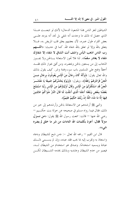الشياطين لتغر الناس بهذا المشعوذ الدجال؛ لأنك لو تتبعــت هـــذا الذي حصل له ذلك ما وحدت أنه شفى بل تحد أنه يتردد علـــى بعض القراء طول عمره، لأن بعضهم يعلق قلب المريض به، فـــلا يتعلق بالله وإلا لو تعلق بالله شفاه الله. كما في حديث: «**اللــــهم** رب الناس اذهب البأس واشف أنت الشافي لا شفاء إلا شفاؤك **شفاء لا يغادر سقمًا».** لذا فلا تجوز الاستعانة بـــالجن ولا يجـــوز الذهاب إلى من يستعين بالجن ويحضره، ومن أفتى بجواز ذلك فقـــد أخطأ وفتح على المسلمين باب سوء وفتنة وشر. كيف يقول بذلك والله تعالى يقول: ﴿وَأَلَّهُ كَانَ رِجَالٌ مِنَ الْإِنْسِ يَعُوذُونَ برِجَالٍ مِــــنَ الْحِنِّ فَزَادُوهُمْ رَهَقًا﴾، ويقول: ﴿وَيَوْمَ يَحْشُرُهُمْ جَمِيعًا يَا مَعْشَـــرَ الْجنِّ قَدِ اسْتَكْثَرْتُمْ مِنَ الْإِنْسِ وَقَالَ أَوْلِيَاؤُهُمْ مِنَ الْإِنْسِ رَبَّنَا اسْتَمْتَعَ بَعْضُنَا بِبَعْضٍ وَبَلَغْنَا أَجَلَنَا الَّذِي أَجَّلْتَ لَنَا قَالَ النَّارُ مَثْوَاكُمْ خَالِدِينَ فِيهَا إلَّا مَا شَاءَ اللَّهُ إنَّ رَبَّكَ حَكِيمٌ عَلِيمٌ﴾.

والنبي ﷺ أرشدهم عن الاستعاذة بالجن وأرشدهم إلى خير من ذلك، فقال فيما رواه مسلم في صحيحه عن خولة بنت حكـــيم — رضي الله عنها — قالت: سمعت رسول الله ﷺ يقول: «**من نـــزل** مىزلاً فقال: أعوذ بكلمات الله التامات من شر ما خلق لم يضره شيء».

قال ابن القيم — رحمه الله تعالى –: «من ذبح للشيطان ودعاه واستعاذ به وتقرب إليه بما يحب فقد عبده، وإن لم يســـمي ذلـــك عبادة ويسميه استخدامًا. وصدق هو استخدام من الشيطان لــــه، فيصير من حدم الشيطان وعابديه وبذلك يخدمه الشـــيطان لكــــن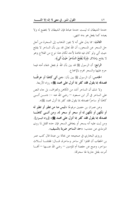حدمة الشيطان له ليست حدمة عبادة فإن الشيطان لا يخضع له ولا يعبده كما يفعل هو به» انتهى.

**الثالث: مم**ا يدل على أنه لا يجوز الذهاب إلى السحرة من أجل حلَّ السَّحْرِ عَنِ المسحورِ، أن الله تعالى قد بين بأن الساحرِ لا يفلح حيث أتى ولو كان فيه فائدة لأحد لكان هذا نوع من الفلاح وهو لا يفلح بإطلاق ﴿وَلَا يُفْلِحُ السَّاحِرُ حَيْثُ أَتَى﴾.

**الرابع**: أن الرسول ﷺ قد بين بأن الله لم يجعل شفاء أمته فيما حرم عليها والسحر محرم بالإجماع.

الخامس: أن الرسول ﷺ بين بأن: «من أتبي كاهنًا أو عرافًـــا فصدقه بما يقول فقد كفر بما أنزل على محمد ﷺ» رواه الأربعة.

ولا شك أن الساحر أشد من الكاهن والعراف، بل حاء النص على الساحر في أثر ابن مسعود — رضي الله عنه –: «مــــن أتــــي كاهنًا أو ساحرًا فصدقه بما يقول فقد كفر بما أنزل محمد ﷺ».

وعن عمران بن حصين مرفوعًا «ليس منا من تطير أو تطير له أو تكهن أو تكهن له أو سحر أو سحر له، ومن أتـــى كاهنًـــا فصدقه بما يقول فقد كفر بما أنزل على محمد ﷺ» [رواه البــزار]. ومن ثبت عليه أنه يسحر أو يتعاطى السحر فإن حده القتل لما روى الترمذي عن جندب: «حد الساحر ضربة بالسيف».

وروى البخاري في صحيحه عن بجالة بن عبدة قال كتب عمر بن الخطاب أن اقتلوا كل ساحر وساحرة، قـــال: فقتلنـــا ثــــلاث سواحر، وصح عن حفصة أم المؤمنين — رضي الله عنــــها — أفمــــا أمرت بقتل جارية لها سحرتما.